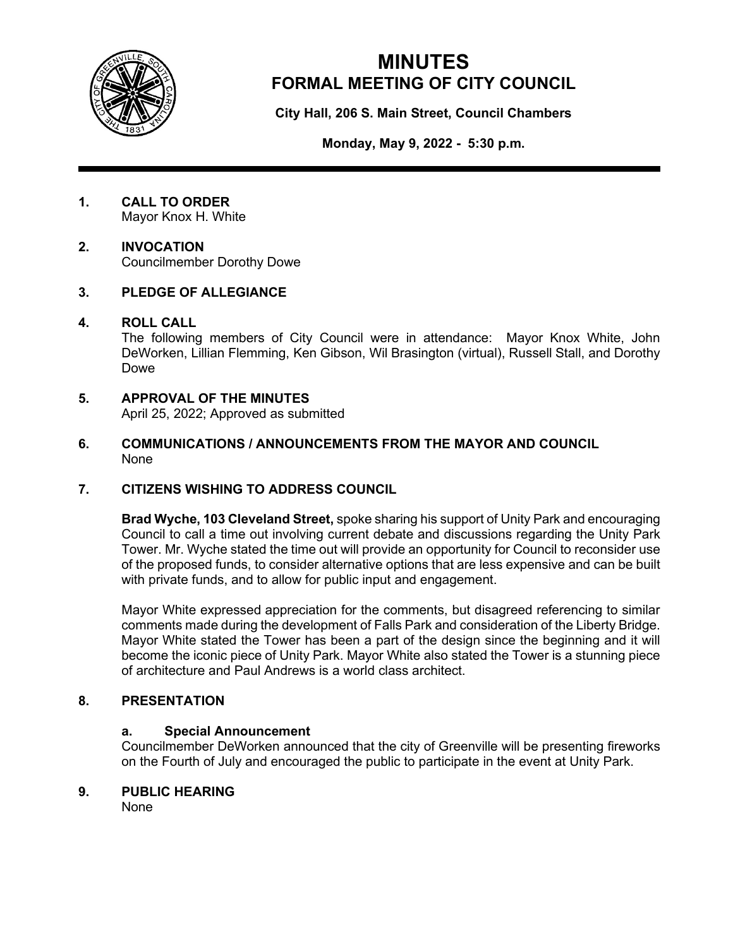

# **MINUTES FORMAL MEETING OF CITY COUNCIL**

**City Hall, 206 S. Main Street, Council Chambers**

**Monday, May 9, 2022 - 5:30 p.m.**

**1. CALL TO ORDER** Mayor Knox H. White

#### **2. INVOCATION** Councilmember Dorothy Dowe

### **3. PLEDGE OF ALLEGIANCE**

### **4. ROLL CALL**

The following members of City Council were in attendance: Mayor Knox White, John DeWorken, Lillian Flemming, Ken Gibson, Wil Brasington (virtual), Russell Stall, and Dorothy Dowe

### **5. APPROVAL OF THE MINUTES**

April 25, 2022; Approved as submitted

**6. COMMUNICATIONS / ANNOUNCEMENTS FROM THE MAYOR AND COUNCIL** None

### **7. CITIZENS WISHING TO ADDRESS COUNCIL**

**Brad Wyche, 103 Cleveland Street,** spoke sharing his support of Unity Park and encouraging Council to call a time out involving current debate and discussions regarding the Unity Park Tower. Mr. Wyche stated the time out will provide an opportunity for Council to reconsider use of the proposed funds, to consider alternative options that are less expensive and can be built with private funds, and to allow for public input and engagement.

Mayor White expressed appreciation for the comments, but disagreed referencing to similar comments made during the development of Falls Park and consideration of the Liberty Bridge. Mayor White stated the Tower has been a part of the design since the beginning and it will become the iconic piece of Unity Park. Mayor White also stated the Tower is a stunning piece of architecture and Paul Andrews is a world class architect.

### **8. PRESENTATION**

### **a. Special Announcement**

Councilmember DeWorken announced that the city of Greenville will be presenting fireworks on the Fourth of July and encouraged the public to participate in the event at Unity Park.

### **9. PUBLIC HEARING**

None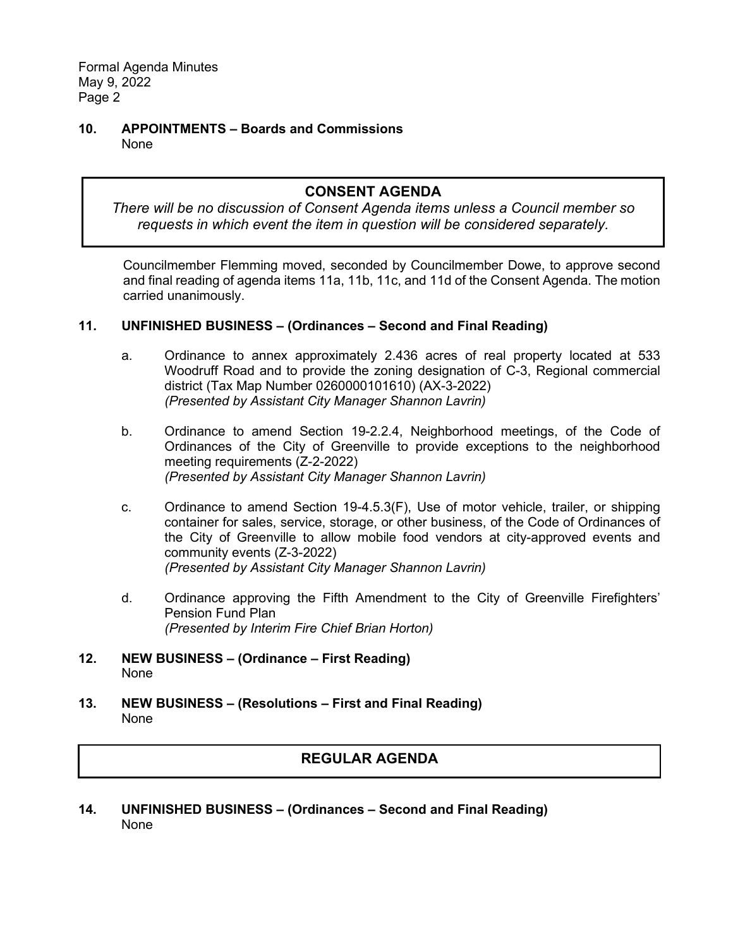**10. APPOINTMENTS – Boards and Commissions** None

## **CONSENT AGENDA**

*There will be no discussion of Consent Agenda items unless a Council member so requests in which event the item in question will be considered separately.*

Councilmember Flemming moved, seconded by Councilmember Dowe, to approve second and final reading of agenda items 11a, 11b, 11c, and 11d of the Consent Agenda. The motion carried unanimously.

#### **11. UNFINISHED BUSINESS – (Ordinances – Second and Final Reading)**

- a. Ordinance to annex approximately 2.436 acres of real property located at 533 Woodruff Road and to provide the zoning designation of C-3, Regional commercial district (Tax Map Number 0260000101610) (AX-3-2022) *(Presented by Assistant City Manager Shannon Lavrin)*
- b. Ordinance to amend Section 19-2.2.4, Neighborhood meetings, of the Code of Ordinances of the City of Greenville to provide exceptions to the neighborhood meeting requirements (Z-2-2022) *(Presented by Assistant City Manager Shannon Lavrin)*
- c. Ordinance to amend Section 19-4.5.3(F), Use of motor vehicle, trailer, or shipping container for sales, service, storage, or other business, of the Code of Ordinances of the City of Greenville to allow mobile food vendors at city-approved events and community events (Z-3-2022) *(Presented by Assistant City Manager Shannon Lavrin)*
- d. Ordinance approving the Fifth Amendment to the City of Greenville Firefighters' Pension Fund Plan *(Presented by Interim Fire Chief Brian Horton)*
- **12. NEW BUSINESS – (Ordinance – First Reading)** None
- **13. NEW BUSINESS – (Resolutions – First and Final Reading)** None

### **REGULAR AGENDA**

**14. UNFINISHED BUSINESS – (Ordinances – Second and Final Reading)** None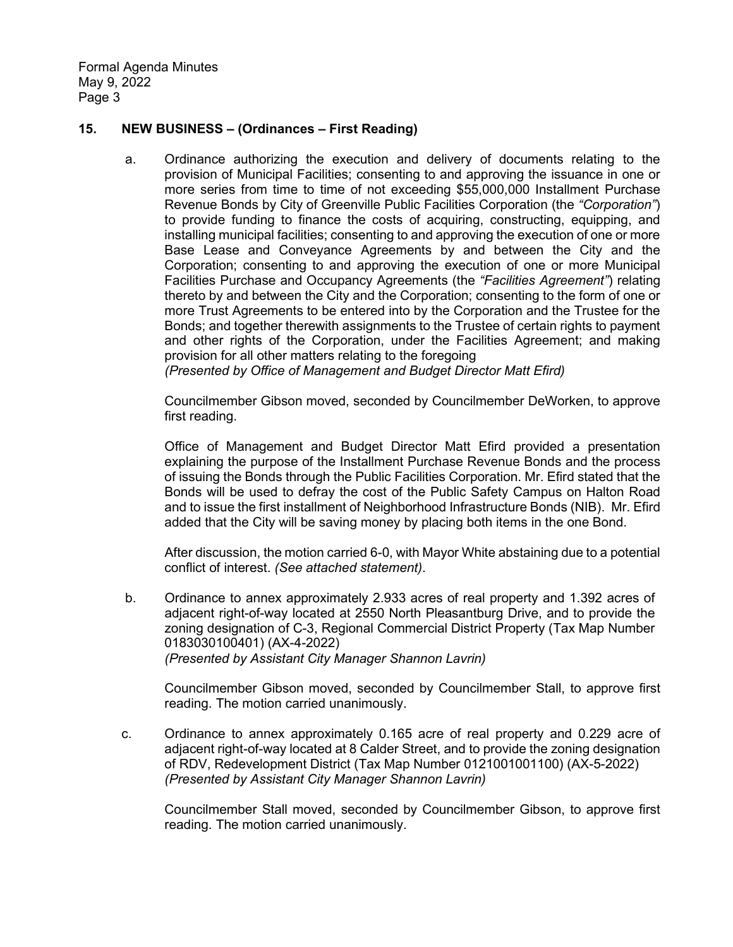#### **15. NEW BUSINESS – (Ordinances – First Reading)**

a. Ordinance authorizing the execution and delivery of documents relating to the provision of Municipal Facilities; consenting to and approving the issuance in one or more series from time to time of not exceeding \$55,000,000 Installment Purchase Revenue Bonds by City of Greenville Public Facilities Corporation (the *"Corporation"*) to provide funding to finance the costs of acquiring, constructing, equipping, and installing municipal facilities; consenting to and approving the execution of one or more Base Lease and Conveyance Agreements by and between the City and the Corporation; consenting to and approving the execution of one or more Municipal Facilities Purchase and Occupancy Agreements (the *"Facilities Agreement"*) relating thereto by and between the City and the Corporation; consenting to the form of one or more Trust Agreements to be entered into by the Corporation and the Trustee for the Bonds; and together therewith assignments to the Trustee of certain rights to payment and other rights of the Corporation, under the Facilities Agreement; and making provision for all other matters relating to the foregoing

*(Presented by Office of Management and Budget Director Matt Efird)*

Councilmember Gibson moved, seconded by Councilmember DeWorken, to approve first reading.

Office of Management and Budget Director Matt Efird provided a presentation explaining the purpose of the Installment Purchase Revenue Bonds and the process of issuing the Bonds through the Public Facilities Corporation. Mr. Efird stated that the Bonds will be used to defray the cost of the Public Safety Campus on Halton Road and to issue the first installment of Neighborhood Infrastructure Bonds (NIB). Mr. Efird added that the City will be saving money by placing both items in the one Bond.

After discussion, the motion carried 6-0, with Mayor White abstaining due to a potential conflict of interest. *(See attached statement)*.

b. Ordinance to annex approximately 2.933 acres of real property and 1.392 acres of adjacent right-of-way located at 2550 North Pleasantburg Drive, and to provide the zoning designation of C-3, Regional Commercial District Property (Tax Map Number 0183030100401) (AX-4-2022) *(Presented by Assistant City Manager Shannon Lavrin)*

Councilmember Gibson moved, seconded by Councilmember Stall, to approve first reading. The motion carried unanimously.

c. Ordinance to annex approximately 0.165 acre of real property and 0.229 acre of adjacent right-of-way located at 8 Calder Street, and to provide the zoning designation of RDV, Redevelopment District (Tax Map Number 0121001001100) (AX-5-2022) *(Presented by Assistant City Manager Shannon Lavrin)*

Councilmember Stall moved, seconded by Councilmember Gibson, to approve first reading. The motion carried unanimously.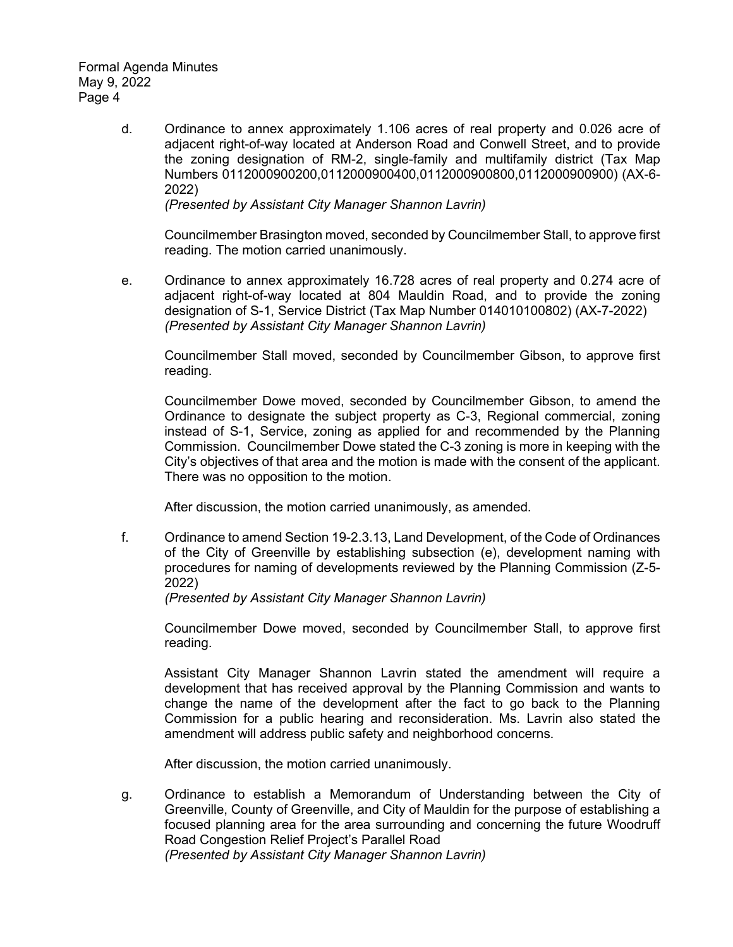> d. Ordinance to annex approximately 1.106 acres of real property and 0.026 acre of adjacent right-of-way located at Anderson Road and Conwell Street, and to provide the zoning designation of RM-2, single-family and multifamily district (Tax Map Numbers 0112000900200,0112000900400,0112000900800,0112000900900) (AX-6- 2022)

*(Presented by Assistant City Manager Shannon Lavrin)*

Councilmember Brasington moved, seconded by Councilmember Stall, to approve first reading. The motion carried unanimously.

e. Ordinance to annex approximately 16.728 acres of real property and 0.274 acre of adjacent right-of-way located at 804 Mauldin Road, and to provide the zoning designation of S-1, Service District (Tax Map Number 014010100802) (AX-7-2022) *(Presented by Assistant City Manager Shannon Lavrin)*

Councilmember Stall moved, seconded by Councilmember Gibson, to approve first reading.

Councilmember Dowe moved, seconded by Councilmember Gibson, to amend the Ordinance to designate the subject property as C-3, Regional commercial, zoning instead of S-1, Service, zoning as applied for and recommended by the Planning Commission. Councilmember Dowe stated the C-3 zoning is more in keeping with the City's objectives of that area and the motion is made with the consent of the applicant. There was no opposition to the motion.

After discussion, the motion carried unanimously, as amended.

f. Ordinance to amend Section 19-2.3.13, Land Development, of the Code of Ordinances of the City of Greenville by establishing subsection (e), development naming with procedures for naming of developments reviewed by the Planning Commission (Z-5- 2022)

*(Presented by Assistant City Manager Shannon Lavrin)*

Councilmember Dowe moved, seconded by Councilmember Stall, to approve first reading.

Assistant City Manager Shannon Lavrin stated the amendment will require a development that has received approval by the Planning Commission and wants to change the name of the development after the fact to go back to the Planning Commission for a public hearing and reconsideration. Ms. Lavrin also stated the amendment will address public safety and neighborhood concerns.

After discussion, the motion carried unanimously.

g. Ordinance to establish a Memorandum of Understanding between the City of Greenville, County of Greenville, and City of Mauldin for the purpose of establishing a focused planning area for the area surrounding and concerning the future Woodruff Road Congestion Relief Project's Parallel Road *(Presented by Assistant City Manager Shannon Lavrin)*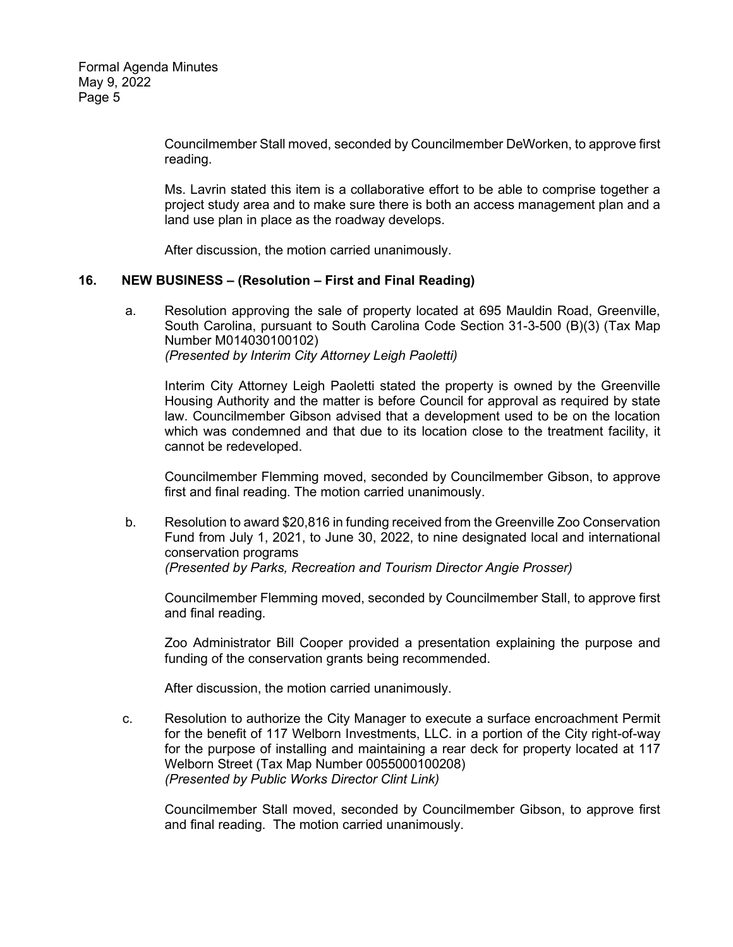Councilmember Stall moved, seconded by Councilmember DeWorken, to approve first reading.

Ms. Lavrin stated this item is a collaborative effort to be able to comprise together a project study area and to make sure there is both an access management plan and a land use plan in place as the roadway develops.

After discussion, the motion carried unanimously.

#### **16. NEW BUSINESS – (Resolution – First and Final Reading)**

a. Resolution approving the sale of property located at 695 Mauldin Road, Greenville, South Carolina, pursuant to South Carolina Code Section 31-3-500 (B)(3) (Tax Map Number M014030100102) *(Presented by Interim City Attorney Leigh Paoletti)*

Interim City Attorney Leigh Paoletti stated the property is owned by the Greenville Housing Authority and the matter is before Council for approval as required by state law. Councilmember Gibson advised that a development used to be on the location which was condemned and that due to its location close to the treatment facility, it cannot be redeveloped.

Councilmember Flemming moved, seconded by Councilmember Gibson, to approve first and final reading. The motion carried unanimously.

b. Resolution to award \$20,816 in funding received from the Greenville Zoo Conservation Fund from July 1, 2021, to June 30, 2022, to nine designated local and international conservation programs *(Presented by Parks, Recreation and Tourism Director Angie Prosser)*

Councilmember Flemming moved, seconded by Councilmember Stall, to approve first and final reading.

Zoo Administrator Bill Cooper provided a presentation explaining the purpose and funding of the conservation grants being recommended.

After discussion, the motion carried unanimously.

 c. Resolution to authorize the City Manager to execute a surface encroachment Permit for the benefit of 117 Welborn Investments, LLC. in a portion of the City right-of-way for the purpose of installing and maintaining a rear deck for property located at 117 Welborn Street (Tax Map Number 0055000100208) *(Presented by Public Works Director Clint Link)* 

Councilmember Stall moved, seconded by Councilmember Gibson, to approve first and final reading. The motion carried unanimously.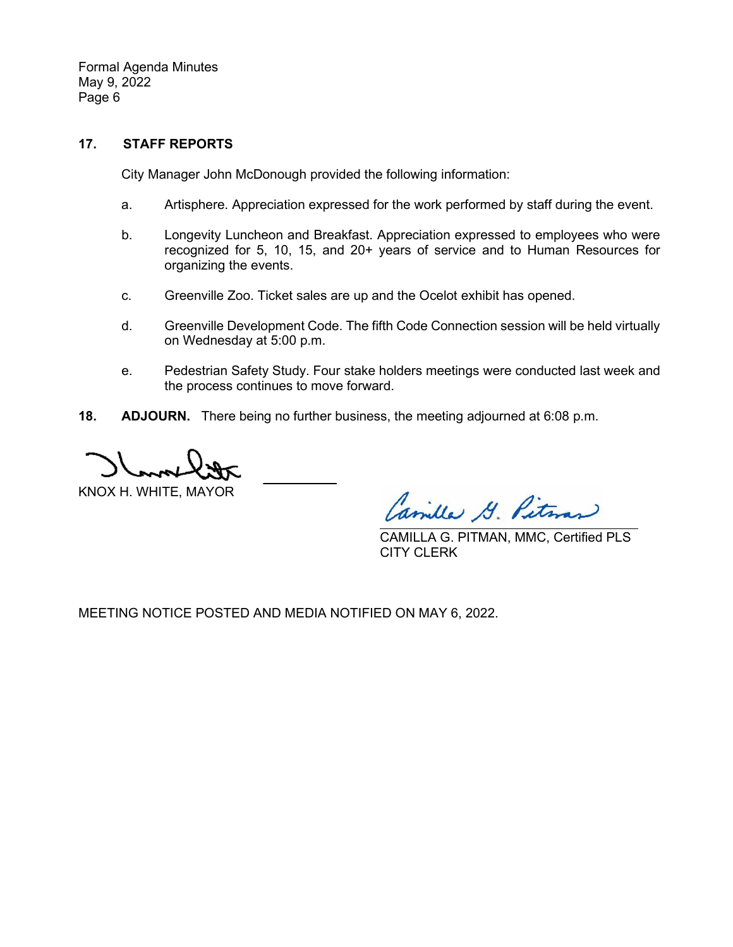### **17. STAFF REPORTS**

City Manager John McDonough provided the following information:

- a. Artisphere. Appreciation expressed for the work performed by staff during the event.
- b. Longevity Luncheon and Breakfast. Appreciation expressed to employees who were recognized for 5, 10, 15, and 20+ years of service and to Human Resources for organizing the events.
- c. Greenville Zoo. Ticket sales are up and the Ocelot exhibit has opened.
- d. Greenville Development Code. The fifth Code Connection session will be held virtually on Wednesday at 5:00 p.m.
- e. Pedestrian Safety Study. Four stake holders meetings were conducted last week and the process continues to move forward.
- **18. ADJOURN.** There being no further business, the meeting adjourned at 6:08 p.m.

KNOX H. WHITE, MAYOR

Camilla G. Pitm

CAMILLA G. PITMAN, MMC, Certified PLS CITY CLERK

MEETING NOTICE POSTED AND MEDIA NOTIFIED ON MAY 6, 2022.